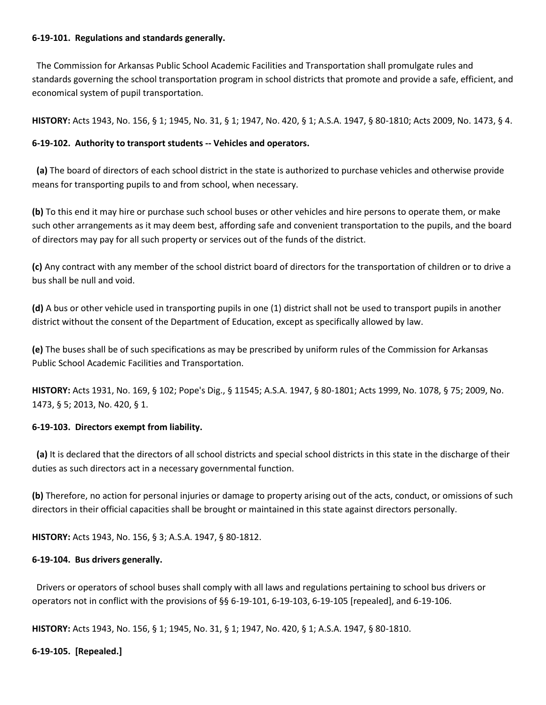### **6-19-101. Regulations and standards generally.**

 The Commission for Arkansas Public School Academic Facilities and Transportation shall promulgate rules and standards governing the school transportation program in school districts that promote and provide a safe, efficient, and economical system of pupil transportation.

**HISTORY:** Acts 1943, No. 156, § 1; 1945, No. 31, § 1; 1947, No. 420, § 1; A.S.A. 1947, § 80-1810; Acts 2009, No. 1473, § 4.

## **6-19-102. Authority to transport students -- Vehicles and operators.**

 **(a)** The board of directors of each school district in the state is authorized to purchase vehicles and otherwise provide means for transporting pupils to and from school, when necessary.

**(b)** To this end it may hire or purchase such school buses or other vehicles and hire persons to operate them, or make such other arrangements as it may deem best, affording safe and convenient transportation to the pupils, and the board of directors may pay for all such property or services out of the funds of the district.

**(c)** Any contract with any member of the school district board of directors for the transportation of children or to drive a bus shall be null and void.

**(d)** A bus or other vehicle used in transporting pupils in one (1) district shall not be used to transport pupils in another district without the consent of the Department of Education, except as specifically allowed by law.

**(e)** The buses shall be of such specifications as may be prescribed by uniform rules of the Commission for Arkansas Public School Academic Facilities and Transportation.

**HISTORY:** Acts 1931, No. 169, § 102; Pope's Dig., § 11545; A.S.A. 1947, § 80-1801; Acts 1999, No. 1078, § 75; 2009, No. 1473, § 5; 2013, No. 420, § 1.

## **6-19-103. Directors exempt from liability.**

 **(a)** It is declared that the directors of all school districts and special school districts in this state in the discharge of their duties as such directors act in a necessary governmental function.

**(b)** Therefore, no action for personal injuries or damage to property arising out of the acts, conduct, or omissions of such directors in their official capacities shall be brought or maintained in this state against directors personally.

**HISTORY:** Acts 1943, No. 156, § 3; A.S.A. 1947, § 80-1812.

## **6-19-104. Bus drivers generally.**

 Drivers or operators of school buses shall comply with all laws and regulations pertaining to school bus drivers or operators not in conflict with the provisions of §§ 6-19-101, 6-19-103, 6-19-105 [repealed], and 6-19-106.

**HISTORY:** Acts 1943, No. 156, § 1; 1945, No. 31, § 1; 1947, No. 420, § 1; A.S.A. 1947, § 80-1810.

**6-19-105. [Repealed.]**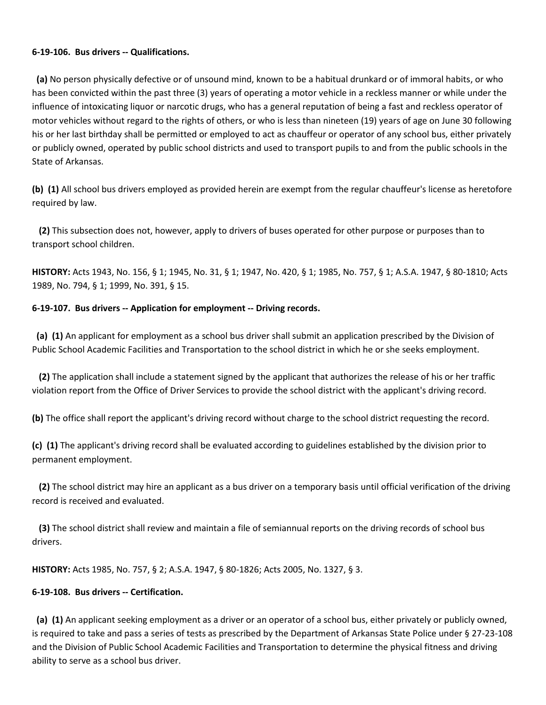### **6-19-106. Bus drivers -- Qualifications.**

 **(a)** No person physically defective or of unsound mind, known to be a habitual drunkard or of immoral habits, or who has been convicted within the past three (3) years of operating a motor vehicle in a reckless manner or while under the influence of intoxicating liquor or narcotic drugs, who has a general reputation of being a fast and reckless operator of motor vehicles without regard to the rights of others, or who is less than nineteen (19) years of age on June 30 following his or her last birthday shall be permitted or employed to act as chauffeur or operator of any school bus, either privately or publicly owned, operated by public school districts and used to transport pupils to and from the public schools in the State of Arkansas.

**(b) (1)** All school bus drivers employed as provided herein are exempt from the regular chauffeur's license as heretofore required by law.

 **(2)** This subsection does not, however, apply to drivers of buses operated for other purpose or purposes than to transport school children.

**HISTORY:** Acts 1943, No. 156, § 1; 1945, No. 31, § 1; 1947, No. 420, § 1; 1985, No. 757, § 1; A.S.A. 1947, § 80-1810; Acts 1989, No. 794, § 1; 1999, No. 391, § 15.

## **6-19-107. Bus drivers -- Application for employment -- Driving records.**

 **(a) (1)** An applicant for employment as a school bus driver shall submit an application prescribed by the Division of Public School Academic Facilities and Transportation to the school district in which he or she seeks employment.

 **(2)** The application shall include a statement signed by the applicant that authorizes the release of his or her traffic violation report from the Office of Driver Services to provide the school district with the applicant's driving record.

**(b)** The office shall report the applicant's driving record without charge to the school district requesting the record.

**(c) (1)** The applicant's driving record shall be evaluated according to guidelines established by the division prior to permanent employment.

 **(2)** The school district may hire an applicant as a bus driver on a temporary basis until official verification of the driving record is received and evaluated.

 **(3)** The school district shall review and maintain a file of semiannual reports on the driving records of school bus drivers.

**HISTORY:** Acts 1985, No. 757, § 2; A.S.A. 1947, § 80-1826; Acts 2005, No. 1327, § 3.

## **6-19-108. Bus drivers -- Certification.**

 **(a) (1)** An applicant seeking employment as a driver or an operator of a school bus, either privately or publicly owned, is required to take and pass a series of tests as prescribed by the Department of Arkansas State Police under § 27-23-108 and the Division of Public School Academic Facilities and Transportation to determine the physical fitness and driving ability to serve as a school bus driver.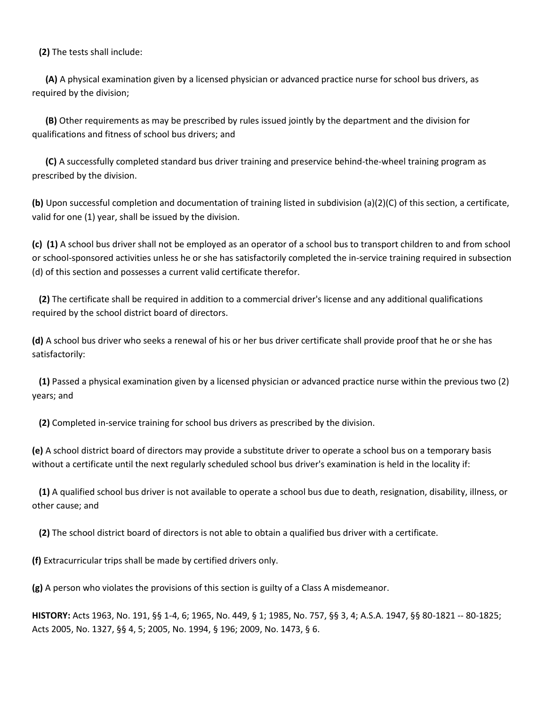**(2)** The tests shall include:

 **(A)** A physical examination given by a licensed physician or advanced practice nurse for school bus drivers, as required by the division;

 **(B)** Other requirements as may be prescribed by rules issued jointly by the department and the division for qualifications and fitness of school bus drivers; and

 **(C)** A successfully completed standard bus driver training and preservice behind-the-wheel training program as prescribed by the division.

**(b)** Upon successful completion and documentation of training listed in subdivision (a)(2)(C) of this section, a certificate, valid for one (1) year, shall be issued by the division.

**(c) (1)** A school bus driver shall not be employed as an operator of a school bus to transport children to and from school or school-sponsored activities unless he or she has satisfactorily completed the in-service training required in subsection (d) of this section and possesses a current valid certificate therefor.

 **(2)** The certificate shall be required in addition to a commercial driver's license and any additional qualifications required by the school district board of directors.

**(d)** A school bus driver who seeks a renewal of his or her bus driver certificate shall provide proof that he or she has satisfactorily:

 **(1)** Passed a physical examination given by a licensed physician or advanced practice nurse within the previous two (2) years; and

**(2)** Completed in-service training for school bus drivers as prescribed by the division.

**(e)** A school district board of directors may provide a substitute driver to operate a school bus on a temporary basis without a certificate until the next regularly scheduled school bus driver's examination is held in the locality if:

 **(1)** A qualified school bus driver is not available to operate a school bus due to death, resignation, disability, illness, or other cause; and

**(2)** The school district board of directors is not able to obtain a qualified bus driver with a certificate.

**(f)** Extracurricular trips shall be made by certified drivers only.

**(g)** A person who violates the provisions of this section is guilty of a Class A misdemeanor.

**HISTORY:** Acts 1963, No. 191, §§ 1-4, 6; 1965, No. 449, § 1; 1985, No. 757, §§ 3, 4; A.S.A. 1947, §§ 80-1821 -- 80-1825; Acts 2005, No. 1327, §§ 4, 5; 2005, No. 1994, § 196; 2009, No. 1473, § 6.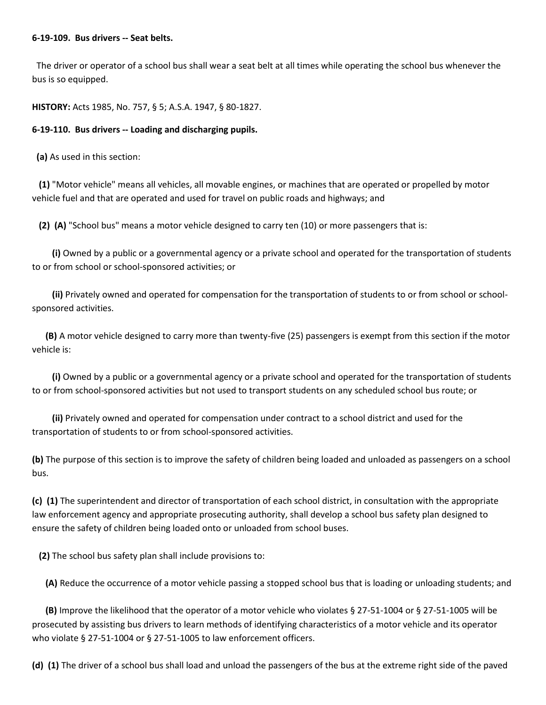#### **6-19-109. Bus drivers -- Seat belts.**

 The driver or operator of a school bus shall wear a seat belt at all times while operating the school bus whenever the bus is so equipped.

**HISTORY:** Acts 1985, No. 757, § 5; A.S.A. 1947, § 80-1827.

## **6-19-110. Bus drivers -- Loading and discharging pupils.**

**(a)** As used in this section:

 **(1)** "Motor vehicle" means all vehicles, all movable engines, or machines that are operated or propelled by motor vehicle fuel and that are operated and used for travel on public roads and highways; and

**(2) (A)** "School bus" means a motor vehicle designed to carry ten (10) or more passengers that is:

 **(i)** Owned by a public or a governmental agency or a private school and operated for the transportation of students to or from school or school-sponsored activities; or

 **(ii)** Privately owned and operated for compensation for the transportation of students to or from school or schoolsponsored activities.

 **(B)** A motor vehicle designed to carry more than twenty-five (25) passengers is exempt from this section if the motor vehicle is:

 **(i)** Owned by a public or a governmental agency or a private school and operated for the transportation of students to or from school-sponsored activities but not used to transport students on any scheduled school bus route; or

 **(ii)** Privately owned and operated for compensation under contract to a school district and used for the transportation of students to or from school-sponsored activities.

**(b)** The purpose of this section is to improve the safety of children being loaded and unloaded as passengers on a school bus.

**(c) (1)** The superintendent and director of transportation of each school district, in consultation with the appropriate law enforcement agency and appropriate prosecuting authority, shall develop a school bus safety plan designed to ensure the safety of children being loaded onto or unloaded from school buses.

**(2)** The school bus safety plan shall include provisions to:

**(A)** Reduce the occurrence of a motor vehicle passing a stopped school bus that is loading or unloading students; and

 **(B)** Improve the likelihood that the operator of a motor vehicle who violates § 27-51-1004 or § 27-51-1005 will be prosecuted by assisting bus drivers to learn methods of identifying characteristics of a motor vehicle and its operator who violate § 27-51-1004 or § 27-51-1005 to law enforcement officers.

**(d) (1)** The driver of a school bus shall load and unload the passengers of the bus at the extreme right side of the paved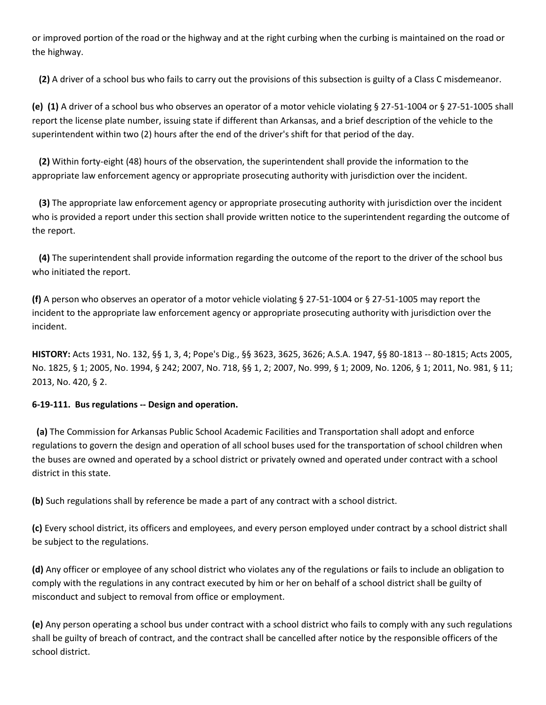or improved portion of the road or the highway and at the right curbing when the curbing is maintained on the road or the highway.

**(2)** A driver of a school bus who fails to carry out the provisions of this subsection is guilty of a Class C misdemeanor.

**(e) (1)** A driver of a school bus who observes an operator of a motor vehicle violating § 27-51-1004 or § 27-51-1005 shall report the license plate number, issuing state if different than Arkansas, and a brief description of the vehicle to the superintendent within two (2) hours after the end of the driver's shift for that period of the day.

 **(2)** Within forty-eight (48) hours of the observation, the superintendent shall provide the information to the appropriate law enforcement agency or appropriate prosecuting authority with jurisdiction over the incident.

 **(3)** The appropriate law enforcement agency or appropriate prosecuting authority with jurisdiction over the incident who is provided a report under this section shall provide written notice to the superintendent regarding the outcome of the report.

 **(4)** The superintendent shall provide information regarding the outcome of the report to the driver of the school bus who initiated the report.

**(f)** A person who observes an operator of a motor vehicle violating § 27-51-1004 or § 27-51-1005 may report the incident to the appropriate law enforcement agency or appropriate prosecuting authority with jurisdiction over the incident.

**HISTORY:** Acts 1931, No. 132, §§ 1, 3, 4; Pope's Dig., §§ 3623, 3625, 3626; A.S.A. 1947, §§ 80-1813 -- 80-1815; Acts 2005, No. 1825, § 1; 2005, No. 1994, § 242; 2007, No. 718, §§ 1, 2; 2007, No. 999, § 1; 2009, No. 1206, § 1; 2011, No. 981, § 11; 2013, No. 420, § 2.

# **6-19-111. Bus regulations -- Design and operation.**

 **(a)** The Commission for Arkansas Public School Academic Facilities and Transportation shall adopt and enforce regulations to govern the design and operation of all school buses used for the transportation of school children when the buses are owned and operated by a school district or privately owned and operated under contract with a school district in this state.

**(b)** Such regulations shall by reference be made a part of any contract with a school district.

**(c)** Every school district, its officers and employees, and every person employed under contract by a school district shall be subject to the regulations.

**(d)** Any officer or employee of any school district who violates any of the regulations or fails to include an obligation to comply with the regulations in any contract executed by him or her on behalf of a school district shall be guilty of misconduct and subject to removal from office or employment.

**(e)** Any person operating a school bus under contract with a school district who fails to comply with any such regulations shall be guilty of breach of contract, and the contract shall be cancelled after notice by the responsible officers of the school district.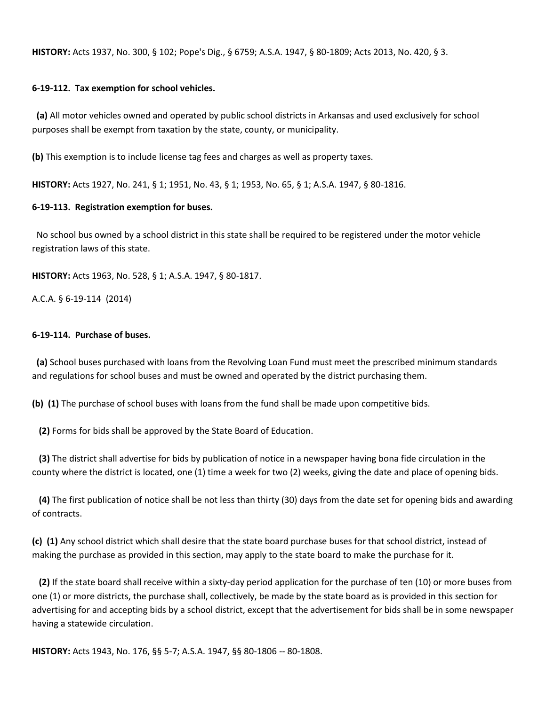**HISTORY:** Acts 1937, No. 300, § 102; Pope's Dig., § 6759; A.S.A. 1947, § 80-1809; Acts 2013, No. 420, § 3.

#### **6-19-112. Tax exemption for school vehicles.**

 **(a)** All motor vehicles owned and operated by public school districts in Arkansas and used exclusively for school purposes shall be exempt from taxation by the state, county, or municipality.

**(b)** This exemption is to include license tag fees and charges as well as property taxes.

**HISTORY:** Acts 1927, No. 241, § 1; 1951, No. 43, § 1; 1953, No. 65, § 1; A.S.A. 1947, § 80-1816.

#### **6-19-113. Registration exemption for buses.**

 No school bus owned by a school district in this state shall be required to be registered under the motor vehicle registration laws of this state.

**HISTORY:** Acts 1963, No. 528, § 1; A.S.A. 1947, § 80-1817.

A.C.A. § 6-19-114 (2014)

#### **6-19-114. Purchase of buses.**

 **(a)** School buses purchased with loans from the Revolving Loan Fund must meet the prescribed minimum standards and regulations for school buses and must be owned and operated by the district purchasing them.

**(b) (1)** The purchase of school buses with loans from the fund shall be made upon competitive bids.

**(2)** Forms for bids shall be approved by the State Board of Education.

 **(3)** The district shall advertise for bids by publication of notice in a newspaper having bona fide circulation in the county where the district is located, one (1) time a week for two (2) weeks, giving the date and place of opening bids.

 **(4)** The first publication of notice shall be not less than thirty (30) days from the date set for opening bids and awarding of contracts.

**(c) (1)** Any school district which shall desire that the state board purchase buses for that school district, instead of making the purchase as provided in this section, may apply to the state board to make the purchase for it.

 **(2)** If the state board shall receive within a sixty-day period application for the purchase of ten (10) or more buses from one (1) or more districts, the purchase shall, collectively, be made by the state board as is provided in this section for advertising for and accepting bids by a school district, except that the advertisement for bids shall be in some newspaper having a statewide circulation.

**HISTORY:** Acts 1943, No. 176, §§ 5-7; A.S.A. 1947, §§ 80-1806 -- 80-1808.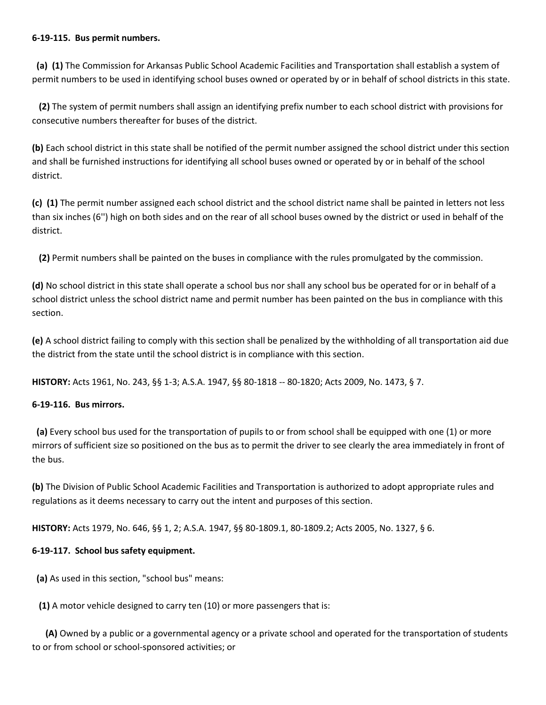### **6-19-115. Bus permit numbers.**

 **(a) (1)** The Commission for Arkansas Public School Academic Facilities and Transportation shall establish a system of permit numbers to be used in identifying school buses owned or operated by or in behalf of school districts in this state.

 **(2)** The system of permit numbers shall assign an identifying prefix number to each school district with provisions for consecutive numbers thereafter for buses of the district.

**(b)** Each school district in this state shall be notified of the permit number assigned the school district under this section and shall be furnished instructions for identifying all school buses owned or operated by or in behalf of the school district.

**(c) (1)** The permit number assigned each school district and the school district name shall be painted in letters not less than six inches (6'') high on both sides and on the rear of all school buses owned by the district or used in behalf of the district.

**(2)** Permit numbers shall be painted on the buses in compliance with the rules promulgated by the commission.

**(d)** No school district in this state shall operate a school bus nor shall any school bus be operated for or in behalf of a school district unless the school district name and permit number has been painted on the bus in compliance with this section.

**(e)** A school district failing to comply with this section shall be penalized by the withholding of all transportation aid due the district from the state until the school district is in compliance with this section.

**HISTORY:** Acts 1961, No. 243, §§ 1-3; A.S.A. 1947, §§ 80-1818 -- 80-1820; Acts 2009, No. 1473, § 7.

# **6-19-116. Bus mirrors.**

 **(a)** Every school bus used for the transportation of pupils to or from school shall be equipped with one (1) or more mirrors of sufficient size so positioned on the bus as to permit the driver to see clearly the area immediately in front of the bus.

**(b)** The Division of Public School Academic Facilities and Transportation is authorized to adopt appropriate rules and regulations as it deems necessary to carry out the intent and purposes of this section.

**HISTORY:** Acts 1979, No. 646, §§ 1, 2; A.S.A. 1947, §§ 80-1809.1, 80-1809.2; Acts 2005, No. 1327, § 6.

# **6-19-117. School bus safety equipment.**

**(a)** As used in this section, "school bus" means:

**(1)** A motor vehicle designed to carry ten (10) or more passengers that is:

 **(A)** Owned by a public or a governmental agency or a private school and operated for the transportation of students to or from school or school-sponsored activities; or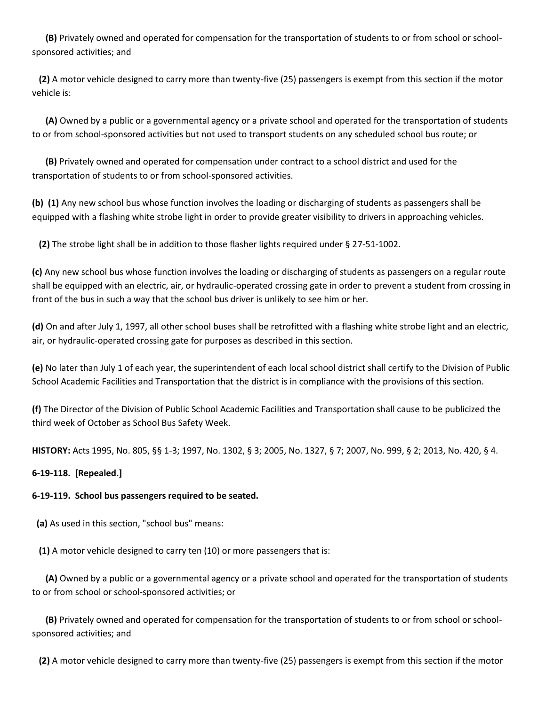**(B)** Privately owned and operated for compensation for the transportation of students to or from school or schoolsponsored activities; and

 **(2)** A motor vehicle designed to carry more than twenty-five (25) passengers is exempt from this section if the motor vehicle is:

 **(A)** Owned by a public or a governmental agency or a private school and operated for the transportation of students to or from school-sponsored activities but not used to transport students on any scheduled school bus route; or

 **(B)** Privately owned and operated for compensation under contract to a school district and used for the transportation of students to or from school-sponsored activities.

**(b) (1)** Any new school bus whose function involves the loading or discharging of students as passengers shall be equipped with a flashing white strobe light in order to provide greater visibility to drivers in approaching vehicles.

**(2)** The strobe light shall be in addition to those flasher lights required under § 27-51-1002.

**(c)** Any new school bus whose function involves the loading or discharging of students as passengers on a regular route shall be equipped with an electric, air, or hydraulic-operated crossing gate in order to prevent a student from crossing in front of the bus in such a way that the school bus driver is unlikely to see him or her.

**(d)** On and after July 1, 1997, all other school buses shall be retrofitted with a flashing white strobe light and an electric, air, or hydraulic-operated crossing gate for purposes as described in this section.

**(e)** No later than July 1 of each year, the superintendent of each local school district shall certify to the Division of Public School Academic Facilities and Transportation that the district is in compliance with the provisions of this section.

**(f)** The Director of the Division of Public School Academic Facilities and Transportation shall cause to be publicized the third week of October as School Bus Safety Week.

**HISTORY:** Acts 1995, No. 805, §§ 1-3; 1997, No. 1302, § 3; 2005, No. 1327, § 7; 2007, No. 999, § 2; 2013, No. 420, § 4.

## **6-19-118. [Repealed.]**

## **6-19-119. School bus passengers required to be seated.**

**(a)** As used in this section, "school bus" means:

**(1)** A motor vehicle designed to carry ten (10) or more passengers that is:

 **(A)** Owned by a public or a governmental agency or a private school and operated for the transportation of students to or from school or school-sponsored activities; or

 **(B)** Privately owned and operated for compensation for the transportation of students to or from school or schoolsponsored activities; and

**(2)** A motor vehicle designed to carry more than twenty-five (25) passengers is exempt from this section if the motor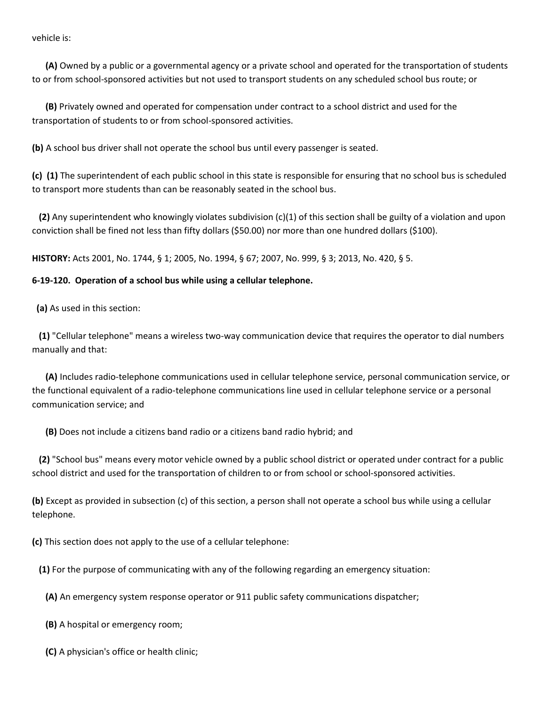vehicle is:

 **(A)** Owned by a public or a governmental agency or a private school and operated for the transportation of students to or from school-sponsored activities but not used to transport students on any scheduled school bus route; or

 **(B)** Privately owned and operated for compensation under contract to a school district and used for the transportation of students to or from school-sponsored activities.

**(b)** A school bus driver shall not operate the school bus until every passenger is seated.

**(c) (1)** The superintendent of each public school in this state is responsible for ensuring that no school bus is scheduled to transport more students than can be reasonably seated in the school bus.

 **(2)** Any superintendent who knowingly violates subdivision (c)(1) of this section shall be guilty of a violation and upon conviction shall be fined not less than fifty dollars (\$50.00) nor more than one hundred dollars (\$100).

**HISTORY:** Acts 2001, No. 1744, § 1; 2005, No. 1994, § 67; 2007, No. 999, § 3; 2013, No. 420, § 5.

### **6-19-120. Operation of a school bus while using a cellular telephone.**

**(a)** As used in this section:

 **(1)** "Cellular telephone" means a wireless two-way communication device that requires the operator to dial numbers manually and that:

 **(A)** Includes radio-telephone communications used in cellular telephone service, personal communication service, or the functional equivalent of a radio-telephone communications line used in cellular telephone service or a personal communication service; and

**(B)** Does not include a citizens band radio or a citizens band radio hybrid; and

 **(2)** "School bus" means every motor vehicle owned by a public school district or operated under contract for a public school district and used for the transportation of children to or from school or school-sponsored activities.

**(b)** Except as provided in subsection (c) of this section, a person shall not operate a school bus while using a cellular telephone.

**(c)** This section does not apply to the use of a cellular telephone:

**(1)** For the purpose of communicating with any of the following regarding an emergency situation:

**(A)** An emergency system response operator or 911 public safety communications dispatcher;

**(B)** A hospital or emergency room;

**(C)** A physician's office or health clinic;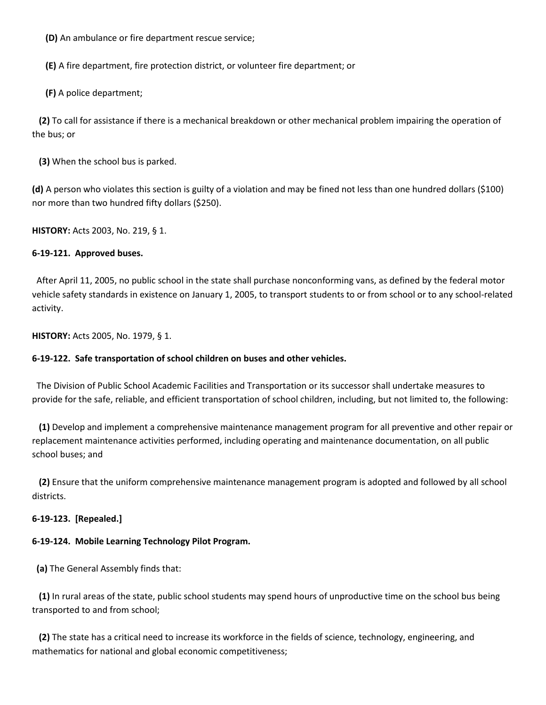**(D)** An ambulance or fire department rescue service;

**(E)** A fire department, fire protection district, or volunteer fire department; or

**(F)** A police department;

 **(2)** To call for assistance if there is a mechanical breakdown or other mechanical problem impairing the operation of the bus; or

**(3)** When the school bus is parked.

**(d)** A person who violates this section is guilty of a violation and may be fined not less than one hundred dollars (\$100) nor more than two hundred fifty dollars (\$250).

**HISTORY:** Acts 2003, No. 219, § 1.

## **6-19-121. Approved buses.**

 After April 11, 2005, no public school in the state shall purchase nonconforming vans, as defined by the federal motor vehicle safety standards in existence on January 1, 2005, to transport students to or from school or to any school-related activity.

**HISTORY:** Acts 2005, No. 1979, § 1.

## **6-19-122. Safe transportation of school children on buses and other vehicles.**

 The Division of Public School Academic Facilities and Transportation or its successor shall undertake measures to provide for the safe, reliable, and efficient transportation of school children, including, but not limited to, the following:

 **(1)** Develop and implement a comprehensive maintenance management program for all preventive and other repair or replacement maintenance activities performed, including operating and maintenance documentation, on all public school buses; and

 **(2)** Ensure that the uniform comprehensive maintenance management program is adopted and followed by all school districts.

## **6-19-123. [Repealed.]**

## **6-19-124. Mobile Learning Technology Pilot Program.**

**(a)** The General Assembly finds that:

 **(1)** In rural areas of the state, public school students may spend hours of unproductive time on the school bus being transported to and from school;

 **(2)** The state has a critical need to increase its workforce in the fields of science, technology, engineering, and mathematics for national and global economic competitiveness;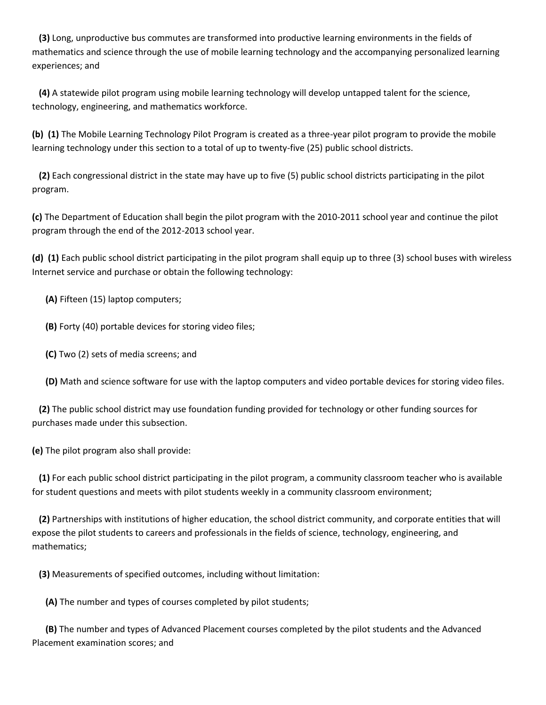**(3)** Long, unproductive bus commutes are transformed into productive learning environments in the fields of mathematics and science through the use of mobile learning technology and the accompanying personalized learning experiences; and

 **(4)** A statewide pilot program using mobile learning technology will develop untapped talent for the science, technology, engineering, and mathematics workforce.

**(b) (1)** The Mobile Learning Technology Pilot Program is created as a three-year pilot program to provide the mobile learning technology under this section to a total of up to twenty-five (25) public school districts.

 **(2)** Each congressional district in the state may have up to five (5) public school districts participating in the pilot program.

**(c)** The Department of Education shall begin the pilot program with the 2010-2011 school year and continue the pilot program through the end of the 2012-2013 school year.

**(d) (1)** Each public school district participating in the pilot program shall equip up to three (3) school buses with wireless Internet service and purchase or obtain the following technology:

**(A)** Fifteen (15) laptop computers;

**(B)** Forty (40) portable devices for storing video files;

**(C)** Two (2) sets of media screens; and

**(D)** Math and science software for use with the laptop computers and video portable devices for storing video files.

 **(2)** The public school district may use foundation funding provided for technology or other funding sources for purchases made under this subsection.

**(e)** The pilot program also shall provide:

 **(1)** For each public school district participating in the pilot program, a community classroom teacher who is available for student questions and meets with pilot students weekly in a community classroom environment;

 **(2)** Partnerships with institutions of higher education, the school district community, and corporate entities that will expose the pilot students to careers and professionals in the fields of science, technology, engineering, and mathematics;

**(3)** Measurements of specified outcomes, including without limitation:

**(A)** The number and types of courses completed by pilot students;

 **(B)** The number and types of Advanced Placement courses completed by the pilot students and the Advanced Placement examination scores; and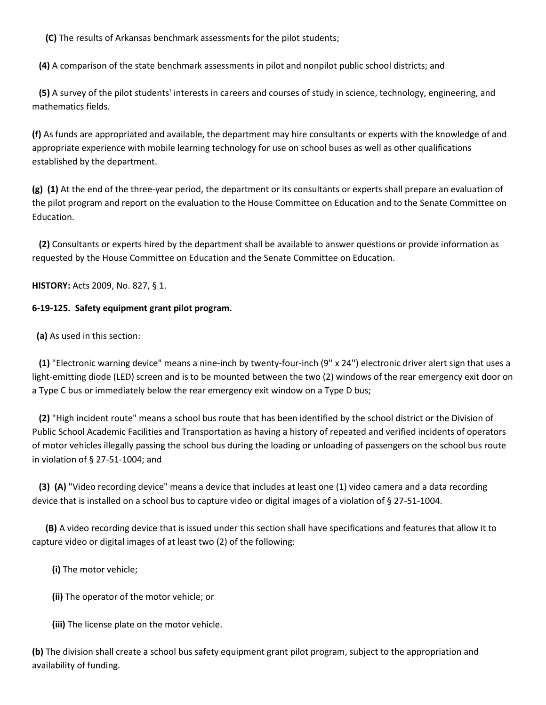**(C)** The results of Arkansas benchmark assessments for the pilot students;

**(4)** A comparison of the state benchmark assessments in pilot and nonpilot public school districts; and

 **(5)** A survey of the pilot students' interests in careers and courses of study in science, technology, engineering, and mathematics fields.

**(f)** As funds are appropriated and available, the department may hire consultants or experts with the knowledge of and appropriate experience with mobile learning technology for use on school buses as well as other qualifications established by the department.

**(g) (1)** At the end of the three-year period, the department or its consultants or experts shall prepare an evaluation of the pilot program and report on the evaluation to the House Committee on Education and to the Senate Committee on Education.

 **(2)** Consultants or experts hired by the department shall be available to answer questions or provide information as requested by the House Committee on Education and the Senate Committee on Education.

**HISTORY:** Acts 2009, No. 827, § 1.

### **6-19-125. Safety equipment grant pilot program.**

**(a)** As used in this section:

 **(1)** "Electronic warning device" means a nine-inch by twenty-four-inch (9'' x 24'') electronic driver alert sign that uses a light-emitting diode (LED) screen and is to be mounted between the two (2) windows of the rear emergency exit door on a Type C bus or immediately below the rear emergency exit window on a Type D bus;

 **(2)** "High incident route" means a school bus route that has been identified by the school district or the Division of Public School Academic Facilities and Transportation as having a history of repeated and verified incidents of operators of motor vehicles illegally passing the school bus during the loading or unloading of passengers on the school bus route in violation of § 27-51-1004; and

 **(3) (A)** "Video recording device" means a device that includes at least one (1) video camera and a data recording device that is installed on a school bus to capture video or digital images of a violation of § 27-51-1004.

 **(B)** A video recording device that is issued under this section shall have specifications and features that allow it to capture video or digital images of at least two (2) of the following:

**(i)** The motor vehicle;

**(ii)** The operator of the motor vehicle; or

**(iii)** The license plate on the motor vehicle.

**(b)** The division shall create a school bus safety equipment grant pilot program, subject to the appropriation and availability of funding.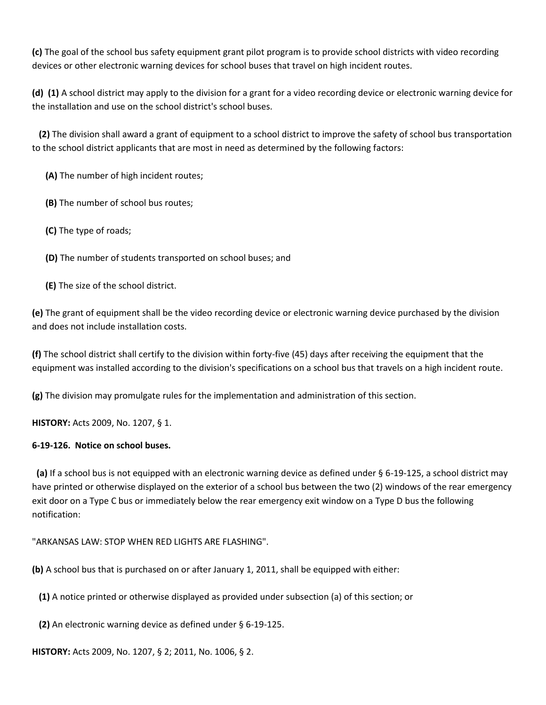**(c)** The goal of the school bus safety equipment grant pilot program is to provide school districts with video recording devices or other electronic warning devices for school buses that travel on high incident routes.

**(d) (1)** A school district may apply to the division for a grant for a video recording device or electronic warning device for the installation and use on the school district's school buses.

 **(2)** The division shall award a grant of equipment to a school district to improve the safety of school bus transportation to the school district applicants that are most in need as determined by the following factors:

**(A)** The number of high incident routes;

**(B)** The number of school bus routes;

**(C)** The type of roads;

**(D)** The number of students transported on school buses; and

**(E)** The size of the school district.

**(e)** The grant of equipment shall be the video recording device or electronic warning device purchased by the division and does not include installation costs.

**(f)** The school district shall certify to the division within forty-five (45) days after receiving the equipment that the equipment was installed according to the division's specifications on a school bus that travels on a high incident route.

**(g)** The division may promulgate rules for the implementation and administration of this section.

**HISTORY:** Acts 2009, No. 1207, § 1.

# **6-19-126. Notice on school buses.**

 **(a)** If a school bus is not equipped with an electronic warning device as defined under § 6-19-125, a school district may have printed or otherwise displayed on the exterior of a school bus between the two (2) windows of the rear emergency exit door on a Type C bus or immediately below the rear emergency exit window on a Type D bus the following notification:

"ARKANSAS LAW: STOP WHEN RED LIGHTS ARE FLASHING".

**(b)** A school bus that is purchased on or after January 1, 2011, shall be equipped with either:

**(1)** A notice printed or otherwise displayed as provided under subsection (a) of this section; or

**(2)** An electronic warning device as defined under § 6-19-125.

**HISTORY:** Acts 2009, No. 1207, § 2; 2011, No. 1006, § 2.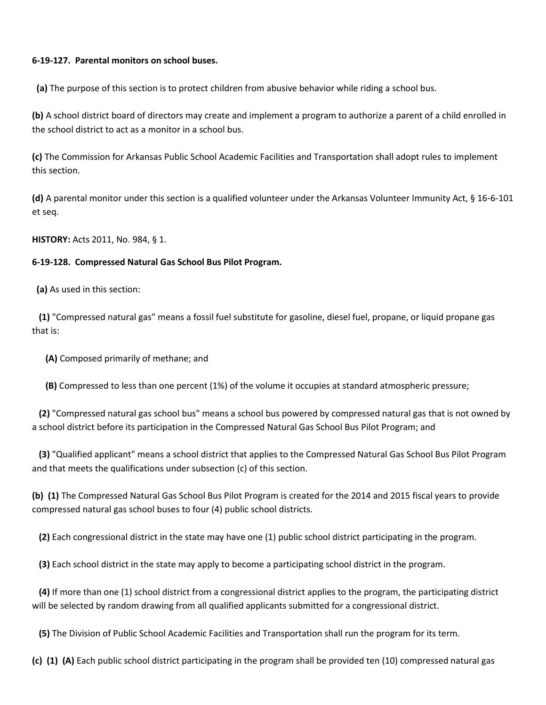## **6-19-127. Parental monitors on school buses.**

**(a)** The purpose of this section is to protect children from abusive behavior while riding a school bus.

**(b)** A school district board of directors may create and implement a program to authorize a parent of a child enrolled in the school district to act as a monitor in a school bus.

**(c)** The Commission for Arkansas Public School Academic Facilities and Transportation shall adopt rules to implement this section.

**(d)** A parental monitor under this section is a qualified volunteer under the Arkansas Volunteer Immunity Act, § 16-6-101 et seq.

**HISTORY:** Acts 2011, No. 984, § 1.

## **6-19-128. Compressed Natural Gas School Bus Pilot Program.**

**(a)** As used in this section:

 **(1)** "Compressed natural gas" means a fossil fuel substitute for gasoline, diesel fuel, propane, or liquid propane gas that is:

**(A)** Composed primarily of methane; and

**(B)** Compressed to less than one percent (1%) of the volume it occupies at standard atmospheric pressure;

 **(2)** "Compressed natural gas school bus" means a school bus powered by compressed natural gas that is not owned by a school district before its participation in the Compressed Natural Gas School Bus Pilot Program; and

 **(3)** "Qualified applicant" means a school district that applies to the Compressed Natural Gas School Bus Pilot Program and that meets the qualifications under subsection (c) of this section.

**(b) (1)** The Compressed Natural Gas School Bus Pilot Program is created for the 2014 and 2015 fiscal years to provide compressed natural gas school buses to four (4) public school districts.

**(2)** Each congressional district in the state may have one (1) public school district participating in the program.

**(3)** Each school district in the state may apply to become a participating school district in the program.

 **(4)** If more than one (1) school district from a congressional district applies to the program, the participating district will be selected by random drawing from all qualified applicants submitted for a congressional district.

**(5)** The Division of Public School Academic Facilities and Transportation shall run the program for its term.

**(c) (1) (A)** Each public school district participating in the program shall be provided ten (10) compressed natural gas